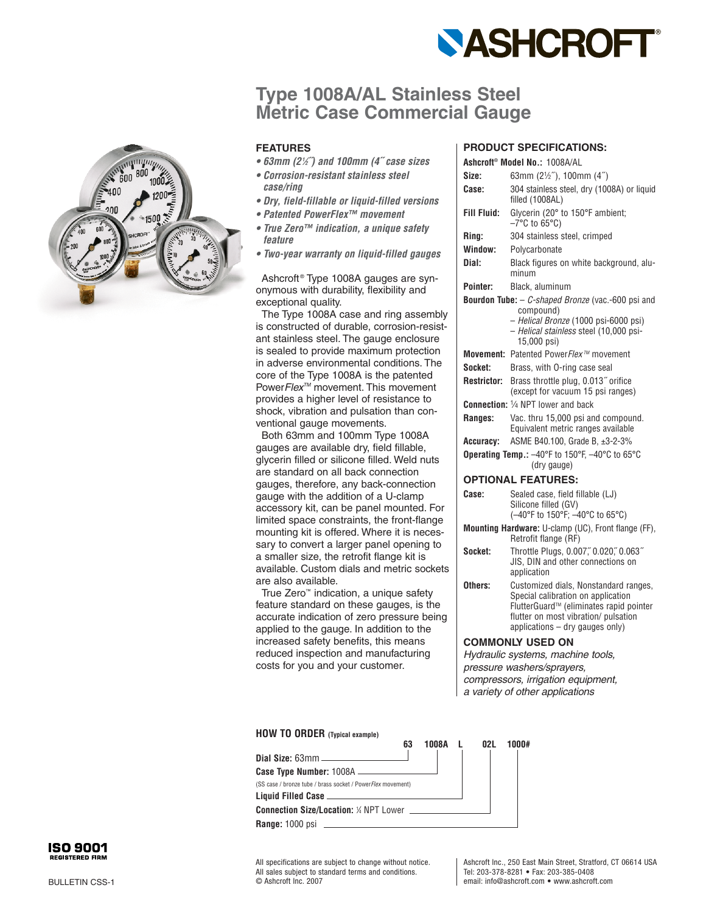

# **Type 1008A/AL Stainless Steel Metric Case Commercial Gauge**

### **FEATURES**

- **63mm (21⁄2˝) and 100mm (4˝ case sizes**
- **Corrosion-resistant stainless steel case/ring**
- **Dry, field-fillable or liquid-filled versions**
- **Patented PowerFlex™ movement**
- **True Zero™ indication, a unique safety feature**
- **Two-year warranty on liquid-filled gauges**

Ashcroft ® Type 1008A gauges are synonymous with durability, flexibility and exceptional quality.

The Type 1008A case and ring assembly is constructed of durable, corrosion-resistant stainless steel. The gauge enclosure is sealed to provide maximum protection in adverse environmental conditions. The core of the Type 1008A is the patented PowerFlex<sup>™</sup> movement. This movement provides a higher level of resistance to shock, vibration and pulsation than conventional gauge movements.

Both 63mm and 100mm Type 1008A gauges are available dry, field fillable, glycerin filled or silicone filled. Weld nuts are standard on all back connection gauges, therefore, any back-connection gauge with the addition of a U-clamp accessory kit, can be panel mounted. For limited space constraints, the front-flange mounting kit is offered. Where it is necessary to convert a larger panel opening to a smaller size, the retrofit flange kit is available. Custom dials and metric sockets are also available.

True Zero ™ indication, a unique safety feature standard on these gauges, is the accurate indication of zero pressure being applied to the gauge. In addition to the increased safety benefits, this means reduced inspection and manufacturing costs for you and your customer.

### **PRODUCT SPECIFICATIONS:**

|                                                                             | Ashcroft <sup>®</sup> Model No.: 1008A/AL                                                                                                                                                           |  |  |  |  |  |  |
|-----------------------------------------------------------------------------|-----------------------------------------------------------------------------------------------------------------------------------------------------------------------------------------------------|--|--|--|--|--|--|
| Size:                                                                       | 63mm (21/2"), 100mm (4")                                                                                                                                                                            |  |  |  |  |  |  |
| Case:                                                                       | 304 stainless steel, dry (1008A) or liquid<br>filled (1008AL)                                                                                                                                       |  |  |  |  |  |  |
| <b>Fill Fluid:</b>                                                          | Glycerin (20° to 150°F ambient;<br>$-7^{\circ}$ C to 65 $^{\circ}$ C)                                                                                                                               |  |  |  |  |  |  |
| Ring:                                                                       | 304 stainless steel, crimped                                                                                                                                                                        |  |  |  |  |  |  |
| Window:                                                                     | Polycarbonate                                                                                                                                                                                       |  |  |  |  |  |  |
| Dial:                                                                       | Black figures on white background, alu-<br>minum                                                                                                                                                    |  |  |  |  |  |  |
| Pointer:                                                                    | Black, aluminum                                                                                                                                                                                     |  |  |  |  |  |  |
|                                                                             | <b>Bourdon Tube:</b> - <i>C-shaped Bronze</i> (vac.-600 psi and<br>compound)<br>- Helical Bronze (1000 psi-6000 psi)<br>- Helical stainless steel (10,000 psi-<br>15,000 psi)                       |  |  |  |  |  |  |
|                                                                             | Movement: Patented PowerFlex™ movement                                                                                                                                                              |  |  |  |  |  |  |
| Socket:                                                                     | Brass, with O-ring case seal                                                                                                                                                                        |  |  |  |  |  |  |
| <b>Restrictor:</b>                                                          | Brass throttle plug, 0.013" orifice<br>(except for vacuum 15 psi ranges)                                                                                                                            |  |  |  |  |  |  |
|                                                                             | <b>Connection:</b> 1/4 NPT lower and back                                                                                                                                                           |  |  |  |  |  |  |
| Ranges:                                                                     | Vac. thru 15,000 psi and compound.<br>Equivalent metric ranges available                                                                                                                            |  |  |  |  |  |  |
| Accuracy:                                                                   | ASME B40.100, Grade B, ±3-2-3%                                                                                                                                                                      |  |  |  |  |  |  |
| Operating Temp.: -40°F to 150°F, -40°C to 65°C<br>(dry gauge)               |                                                                                                                                                                                                     |  |  |  |  |  |  |
|                                                                             | <b>OPTIONAL FEATURES:</b>                                                                                                                                                                           |  |  |  |  |  |  |
| Case:                                                                       | Sealed case, field fillable (LJ)<br>Silicone filled (GV)<br>(-40°F to 150°F; -40°C to 65°C)                                                                                                         |  |  |  |  |  |  |
| Mounting Hardware: U-clamp (UC), Front flange (FF),<br>Retrofit flange (RF) |                                                                                                                                                                                                     |  |  |  |  |  |  |
| Socket:                                                                     | Throttle Plugs, 0.007," 0.020," 0.063"<br>JIS, DIN and other connections on<br>application                                                                                                          |  |  |  |  |  |  |
| Others:                                                                     | Customized dials, Nonstandard ranges,<br>Special calibration on application<br>FlutterGuard™ (eliminates rapid pointer<br>flutter on most vibration/ pulsation<br>applications $-$ dry gauges only) |  |  |  |  |  |  |
| <b>COMMONLY USED ON</b>                                                     |                                                                                                                                                                                                     |  |  |  |  |  |  |

Hydraulic systems, machine tools, pressure washers/sprayers, compressors, irrigation equipment, a variety of other applications

#### **HOW TO ORDER (Typical example)**

| 63                                                          | 1008A | N21 | 1000# |
|-------------------------------------------------------------|-------|-----|-------|
|                                                             |       |     |       |
|                                                             |       |     |       |
| (SS case / bronze tube / brass socket / PowerFlex movement) |       |     |       |
|                                                             |       |     |       |
|                                                             |       |     |       |
|                                                             |       |     |       |
|                                                             |       |     |       |



All specifications are subject to change without notice. All sales subject to standard terms and conditions. © Ashcroft Inc. 2007

Ashcroft Inc., 250 East Main Street, Stratford, CT 06614 USA Tel: 203-378-8281 • Fax: 203-385-0408 email: info@ashcroft.com • www.ashcroft.com